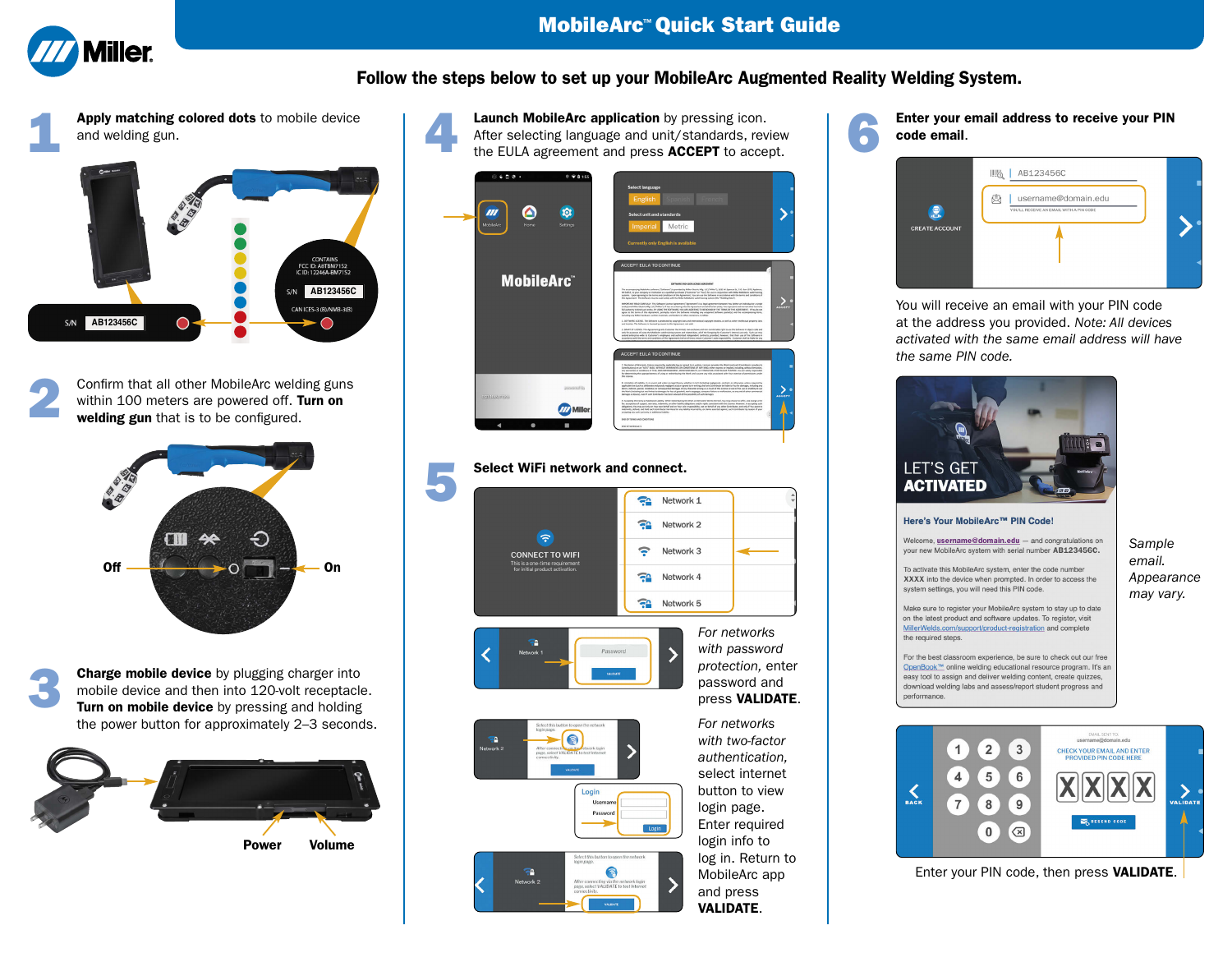

## **Follow the steps below to set up your MobileArc Augmented Reality Welding System.**

1 **Apply matching colored dots** to mobile device and welding gun.



2 Confirm that all other MobileArc welding guns within 100 meters are powered off. **Turn on welding gun** that is to be configured.



**Charge mobile device** by plugging charger into mobile device and then into 120-volt receptacle. **Turn on mobile device** by pressing and holding the power button for approximately 2–3 seconds.



**Launch MobileArc application** by pressing icon.<br>After selecting language and unit/standards, review<br>the EULA expression and press. ACCERT to execut Launch MobileArc application by pressing icon.<br>After selecting language and unit/standards, review code email.<br>the EULA agreement and press ACCEPT to accept.

| 0.600<br>$0$ $90155$<br>$\Omega$<br>MobileArc<br>Home<br>Settings | <b>Select language</b><br>English<br><b>SECRETS</b><br><b>French</b><br>Select unit and standards<br>Metric<br>Imperial<br><b>Currently only English is available</b>                                                                                                                                                                                                                                                                                                                                                                                                                                                                                                                                                                                                                                                                                                                                                                                                                                                                                                                                                                                                                                                                                                                                                                                                                                                                                                                                                                                                                                                                                                                                                                                                                                                                                                                                                |
|-------------------------------------------------------------------|----------------------------------------------------------------------------------------------------------------------------------------------------------------------------------------------------------------------------------------------------------------------------------------------------------------------------------------------------------------------------------------------------------------------------------------------------------------------------------------------------------------------------------------------------------------------------------------------------------------------------------------------------------------------------------------------------------------------------------------------------------------------------------------------------------------------------------------------------------------------------------------------------------------------------------------------------------------------------------------------------------------------------------------------------------------------------------------------------------------------------------------------------------------------------------------------------------------------------------------------------------------------------------------------------------------------------------------------------------------------------------------------------------------------------------------------------------------------------------------------------------------------------------------------------------------------------------------------------------------------------------------------------------------------------------------------------------------------------------------------------------------------------------------------------------------------------------------------------------------------------------------------------------------------|
| <b>MobileArc</b> <sup>*</sup>                                     | <b>ACCEPT EULA TO CONTINUE</b><br>SOFTWARE END USER LICENSE AGREEMENT<br>The accompanying MobileArc software ("Software") is provided by Milker Electric MS; (EE ("Milke"), 1625 W. Spencer St., P.O. Box 1075, Appleton,<br>W S4512, to your company or institution as a qualified purchase ("Customer" or "You") for use in conjunction with Miller Middlebiz and truning<br>system. Easy agreeing to the terms and conditions of this Agreement, You can use the Software in accordance with the terms and conditions of<br>this Agreement. The Software may be used solely with the Miller Middlefer weld transag system (the "Welding Outa").<br>IMPORTANT READ CAREFULLY. This Software License Agreement ("Agreement") is a legid agreement between You (either an individual or a single<br>entity) and Willer Electro, Mfg. LLC ("Miller"). If You are entering into this Agreement on behalf of an entity. Fax expressed and wancer(that fray have<br><b>ACCEPT</b><br>Ad authority to be displays were, BY clotch THE SOFTWARE, YOU ARE AGREERED TO BE BOUND BY THE TERMS OF THIS AGREEMENT. If Fay do not<br>agree to the terms of this Agreement, promptly return the follower including any uniquired follower packeted and the accompanying demi,<br>Including any Milfor Rendezers, written mutanish, and binders or other containers, to Milfor.<br>1. SOFTWARE LICENSE. The Software is protected by copyright lows and international copyright treaties, as well as other intellectual property lows<br>and treaties. The Software is licensed pursuant to this Agreement, not sold.<br>2. GRANT OF UCENSE. This Agreement grants Customer the limited, non-exclusive and non-transferable right to use the Software in abject sock and<br>anty for excessors of using the Multibrities weld training system and related data, all of the foregoing for Coutomer's treesed use only. Such our may |
| showered its<br>88202102033200                                    | extend enterprise wide to Customer's employees and authorized independent contracts; provided, however, that their use of the Schware in<br>accordance with the terms and conditions of this Agreement shall at all times renure Customer's sole responsibility. Contemer shall be faithful a any<br><b>ACCEPT EULA TO CONTINUE</b><br>7. Blockeliner of Namany, Union required by applicable low or agrest to in writing, Uconoar provides the Work land each Eartenbusor provides its<br>Experienced on an "ALIS" AASS, writerin it wanken/at City (implement) and attain when events or implement includes without limitation.<br>any summittee, or conditions of TITLE ADS INFRASTMENT, MERCHANTABILITY, or RITNERS AND A PUBERTULAR PUBERTER, Was any solids responsible<br>for determining the appropriatement of using or individualing the Work and assume any risks associated with Your exercise of permissions under<br>shockering.<br>A cashation of caddity, in no event and under no least theory substitute in hert limbating nonlargest, assimist or ethnoglia, values required by<br>applicable law (such as deliberate and growin regligered acts) or agrossi to as netting, shall any Centributer be liable to frou for damages, including any<br>direct, indexel, special, incidental, or consequential damages of any character article as a result of this Leonar or out of the use or institing to use<br>the North Including but not limited to dumper for loss of goodwill, work stoppage, computer failure or multuretors, or any and all other commercial<br>derivers or leven), even if such Centributor has been advised of the possibility of such damages.<br><b>ACCEPT</b><br>5. According Warners or Additional Lightin, While reside factor the North or Derivator Works thereof. You may chose to affer, and charge a few                                                         |
| <b>Miller</b>                                                     | for, acceptance of support, warranty, indemnity, or other Eability obligations and/or rights consistent with this License. In accepting such<br>obligations. You may act only on Your own behalf and on Your site responsibility not on behalf of any stiter Contributor, and only if You agree to<br>indexeds, defind, and held each Contributor harmless for any hiddly incurred by, or claims asserted against, such Cantributor by reason of your<br>accepting any such warranty or additional fadelity.<br>٠<br>END-DF TERME AND EDIGOTIONS<br><b>ENGINE SCHEDULE 3.</b>                                                                                                                                                                                                                                                                                                                                                                                                                                                                                                                                                                                                                                                                                                                                                                                                                                                                                                                                                                                                                                                                                                                                                                                                                                                                                                                                        |



protection, enter press **VALIDATE**.





authentication, select internet button to view login page. Enter required login info to log in. Return to MobileArc app and press **VALIDATE**.



**code email**.

| 息                     | 凹版<br>AB123456C<br>囱<br>username@domain.edu<br>YOU'LL RECEIVE AN EMAIL WITH A PIN CODE |  |
|-----------------------|----------------------------------------------------------------------------------------|--|
| <b>CREATE ACCOUNT</b> |                                                                                        |  |

You will receive an email with your PIN code at the address you provided. Note: All devices activated with the same email address will have the same PIN code.



## Here's Your MobileArc™ PIN Code!

Welcome, username@domain.edu - and congratulations on your new MobileArc system with serial number AB123456C.

To activate this MobileArc system, enter the code number XXXX into the device when prompted. In order to access the system settings, you will need this PIN code.

Make sure to register your MobileArc system to stay up to date on the latest product and software updates. To register, visit MillerWelds.com/support/product-registration and complete the required steps.

For the best classroom experience, be sure to check out our free OpenBook™ online welding educational resource program. It's an easy tool to assign and deliver welding content, create quizzes, download welding labs and assess/report student progress and performance.



Enter your PIN code, then press **VALIDATE**.

Sample email. Appearance may vary.